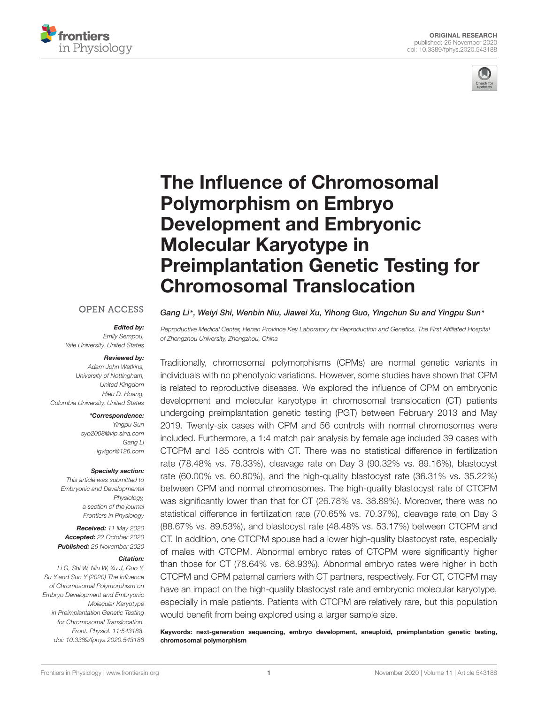



# The Influence of Chromosomal Polymorphism on Embryo Development and Embryonic Molecular Karyotype in [Preimplantation Genetic Testing for](https://www.frontiersin.org/articles/10.3389/fphys.2020.543188/full) Chromosomal Translocation

#### **OPEN ACCESS**

#### Edited by:

Emily Sempou, Yale University, United States

#### Reviewed by:

Adam John Watkins, University of Nottingham, United Kingdom Hieu D. Hoang, Columbia University, United States

#### \*Correspondence:

Yingpu Sun syp2008@vip.sina.com Gang Li lgvigor@126.com

#### Specialty section:

This article was submitted to Embryonic and Developmental Physiology, a section of the journal Frontiers in Physiology

Received: 11 May 2020 Accepted: 22 October 2020 Published: 26 November 2020

#### Citation:

Li G, Shi W, Niu W, Xu J, Guo Y, Su Y and Sun Y (2020) The Influence of Chromosomal Polymorphism on Embryo Development and Embryonic Molecular Karyotype in Preimplantation Genetic Testing for Chromosomal Translocation. Front. Physiol. 11:543188. doi: [10.3389/fphys.2020.543188](https://doi.org/10.3389/fphys.2020.543188) Gang Li\*, Weiyi Shi, Wenbin Niu, Jiawei Xu, Yihong Guo, Yingchun Su and Yingpu Sun\*

Reproductive Medical Center, Henan Province Key Laboratory for Reproduction and Genetics, The First Affiliated Hospital of Zhengzhou University, Zhengzhou, China

Traditionally, chromosomal polymorphisms (CPMs) are normal genetic variants in individuals with no phenotypic variations. However, some studies have shown that CPM is related to reproductive diseases. We explored the influence of CPM on embryonic development and molecular karyotype in chromosomal translocation (CT) patients undergoing preimplantation genetic testing (PGT) between February 2013 and May 2019. Twenty-six cases with CPM and 56 controls with normal chromosomes were included. Furthermore, a 1:4 match pair analysis by female age included 39 cases with CTCPM and 185 controls with CT. There was no statistical difference in fertilization rate (78.48% vs. 78.33%), cleavage rate on Day 3 (90.32% vs. 89.16%), blastocyst rate (60.00% vs. 60.80%), and the high-quality blastocyst rate (36.31% vs. 35.22%) between CPM and normal chromosomes. The high-quality blastocyst rate of CTCPM was significantly lower than that for CT (26.78% vs. 38.89%). Moreover, there was no statistical difference in fertilization rate (70.65% vs. 70.37%), cleavage rate on Day 3 (88.67% vs. 89.53%), and blastocyst rate (48.48% vs. 53.17%) between CTCPM and CT. In addition, one CTCPM spouse had a lower high-quality blastocyst rate, especially of males with CTCPM. Abnormal embryo rates of CTCPM were significantly higher than those for CT (78.64% vs. 68.93%). Abnormal embryo rates were higher in both CTCPM and CPM paternal carriers with CT partners, respectively. For CT, CTCPM may have an impact on the high-quality blastocyst rate and embryonic molecular karyotype, especially in male patients. Patients with CTCPM are relatively rare, but this population would benefit from being explored using a larger sample size.

Keywords: next-generation sequencing, embryo development, aneuploid, preimplantation genetic testing, chromosomal polymorphism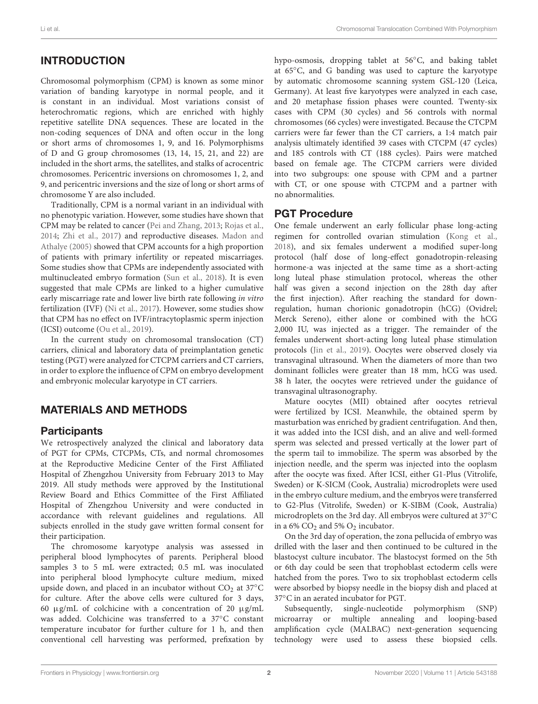# **INTRODUCTION**

Chromosomal polymorphism (CPM) is known as some minor variation of banding karyotype in normal people, and it is constant in an individual. Most variations consist of heterochromatic regions, which are enriched with highly repetitive satellite DNA sequences. These are located in the non-coding sequences of DNA and often occur in the long or short arms of chromosomes 1, 9, and 16. Polymorphisms of D and G group chromosomes (13, 14, 15, 21, and 22) are included in the short arms, the satellites, and stalks of acrocentric chromosomes. Pericentric inversions on chromosomes 1, 2, and 9, and pericentric inversions and the size of long or short arms of chromosome Y are also included.

Traditionally, CPM is a normal variant in an individual with no phenotypic variation. However, some studies have shown that CPM may be related to cancer [\(Pei and Zhang,](#page-6-0) [2013;](#page-6-0) [Rojas et al.,](#page-6-1) [2014;](#page-6-1) [Zhi et al.,](#page-6-2) [2017\)](#page-6-2) and reproductive diseases. [Madon and](#page-6-3) [Athalye](#page-6-3) [\(2005\)](#page-6-3) showed that CPM accounts for a high proportion of patients with primary infertility or repeated miscarriages. Some studies show that CPMs are independently associated with multinucleated embryo formation [\(Sun et al.,](#page-6-4) [2018\)](#page-6-4). It is even suggested that male CPMs are linked to a higher cumulative early miscarriage rate and lower live birth rate following in vitro fertilization (IVF) [\(Ni et al.,](#page-6-5) [2017\)](#page-6-5). However, some studies show that CPM has no effect on IVF/intracytoplasmic sperm injection (ICSI) outcome [\(Ou et al.,](#page-6-6) [2019\)](#page-6-6).

In the current study on chromosomal translocation (CT) carriers, clinical and laboratory data of preimplantation genetic testing (PGT) were analyzed for CTCPM carriers and CT carriers, in order to explore the influence of CPM on embryo development and embryonic molecular karyotype in CT carriers.

# MATERIALS AND METHODS

### **Participants**

We retrospectively analyzed the clinical and laboratory data of PGT for CPMs, CTCPMs, CTs, and normal chromosomes at the Reproductive Medicine Center of the First Affiliated Hospital of Zhengzhou University from February 2013 to May 2019. All study methods were approved by the Institutional Review Board and Ethics Committee of the First Affiliated Hospital of Zhengzhou University and were conducted in accordance with relevant guidelines and regulations. All subjects enrolled in the study gave written formal consent for their participation.

The chromosome karyotype analysis was assessed in peripheral blood lymphocytes of parents. Peripheral blood samples 3 to 5 mL were extracted; 0.5 mL was inoculated into peripheral blood lymphocyte culture medium, mixed upside down, and placed in an incubator without  $CO<sub>2</sub>$  at 37°C for culture. After the above cells were cultured for 3 days, 60  $\mu$ g/mL of colchicine with a concentration of 20  $\mu$ g/mL was added. Colchicine was transferred to a 37◦C constant temperature incubator for further culture for 1 h, and then conventional cell harvesting was performed, prefixation by

hypo-osmosis, dropping tablet at 56◦C, and baking tablet at 65◦C, and G banding was used to capture the karyotype by automatic chromosome scanning system GSL-120 (Leica, Germany). At least five karyotypes were analyzed in each case, and 20 metaphase fission phases were counted. Twenty-six cases with CPM (30 cycles) and 56 controls with normal chromosomes (66 cycles) were investigated. Because the CTCPM carriers were far fewer than the CT carriers, a 1:4 match pair analysis ultimately identified 39 cases with CTCPM (47 cycles) and 185 controls with CT (188 cycles). Pairs were matched based on female age. The CTCPM carriers were divided into two subgroups: one spouse with CPM and a partner with CT, or one spouse with CTCPM and a partner with no abnormalities.

# PGT Procedure

One female underwent an early follicular phase long-acting regimen for controlled ovarian stimulation [\(Kong et al.,](#page-6-7) [2018\)](#page-6-7), and six females underwent a modified super-long protocol (half dose of long-effect gonadotropin-releasing hormone-a was injected at the same time as a short-acting long luteal phase stimulation protocol, whereas the other half was given a second injection on the 28th day after the first injection). After reaching the standard for downregulation, human chorionic gonadotropin (hCG) (Ovidrel; Merck Sereno), either alone or combined with the hCG 2,000 IU, was injected as a trigger. The remainder of the females underwent short-acting long luteal phase stimulation protocols [\(Jin et al.,](#page-6-8) [2019\)](#page-6-8). Oocytes were observed closely via transvaginal ultrasound. When the diameters of more than two dominant follicles were greater than 18 mm, hCG was used. 38 h later, the oocytes were retrieved under the guidance of transvaginal ultrasonography.

Mature oocytes (MII) obtained after oocytes retrieval were fertilized by ICSI. Meanwhile, the obtained sperm by masturbation was enriched by gradient centrifugation. And then, it was added into the ICSI dish, and an alive and well-formed sperm was selected and pressed vertically at the lower part of the sperm tail to immobilize. The sperm was absorbed by the injection needle, and the sperm was injected into the ooplasm after the oocyte was fixed. After ICSI, either G1-Plus (Vitrolife, Sweden) or K-SICM (Cook, Australia) microdroplets were used in the embryo culture medium, and the embryos were transferred to G2-Plus (Vitrolife, Sweden) or K-SIBM (Cook, Australia) microdroplets on the 3rd day. All embryos were cultured at 37◦C in a 6%  $CO<sub>2</sub>$  and 5%  $O<sub>2</sub>$  incubator.

On the 3rd day of operation, the zona pellucida of embryo was drilled with the laser and then continued to be cultured in the blastocyst culture incubator. The blastocyst formed on the 5th or 6th day could be seen that trophoblast ectoderm cells were hatched from the pores. Two to six trophoblast ectoderm cells were absorbed by biopsy needle in the biopsy dish and placed at 37◦C in an aerated incubator for PGT.

Subsequently, single-nucleotide polymorphism (SNP) microarray or multiple annealing and looping-based amplification cycle (MALBAC) next-generation sequencing technology were used to assess these biopsied cells.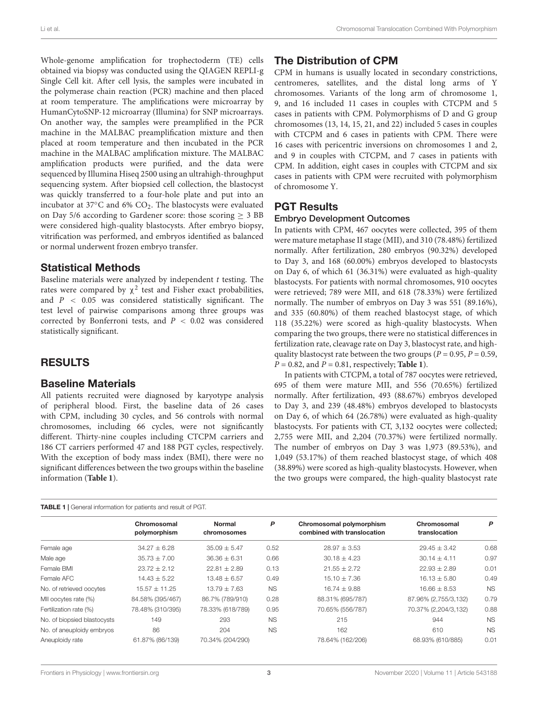Whole-genome amplification for trophectoderm (TE) cells obtained via biopsy was conducted using the QIAGEN REPLI-g Single Cell kit. After cell lysis, the samples were incubated in the polymerase chain reaction (PCR) machine and then placed at room temperature. The amplifications were microarray by HumanCytoSNP-12 microarray (Illumina) for SNP microarrays. On another way, the samples were preamplified in the PCR machine in the MALBAC preamplification mixture and then placed at room temperature and then incubated in the PCR machine in the MALBAC amplification mixture. The MALBAC amplification products were purified, and the data were sequenced by Illumina Hiseq 2500 using an ultrahigh-throughput sequencing system. After biopsied cell collection, the blastocyst was quickly transferred to a four-hole plate and put into an incubator at 37◦C and 6% CO2. The blastocysts were evaluated on Day 5/6 according to Gardener score: those scoring  $\geq$  3 BB were considered high-quality blastocysts. After embryo biopsy, vitrification was performed, and embryos identified as balanced or normal underwent frozen embryo transfer.

#### Statistical Methods

Baseline materials were analyzed by independent  $t$  testing. The rates were compared by  $\chi^2$  test and Fisher exact probabilities, and  $P < 0.05$  was considered statistically significant. The test level of pairwise comparisons among three groups was corrected by Bonferroni tests, and  $P < 0.02$  was considered statistically significant.

### RESULTS

#### Baseline Materials

All patients recruited were diagnosed by karyotype analysis of peripheral blood. First, the baseline data of 26 cases with CPM, including 30 cycles, and 56 controls with normal chromosomes, including 66 cycles, were not significantly different. Thirty-nine couples including CTCPM carriers and 186 CT carriers performed 47 and 188 PGT cycles, respectively. With the exception of body mass index (BMI), there were no significant differences between the two groups within the baseline information (**[Table 1](#page-2-0)**).

<span id="page-2-0"></span>TABLE 1 | General information for patients and result of PGT.

# The Distribution of CPM

CPM in humans is usually located in secondary constrictions, centromeres, satellites, and the distal long arms of Y chromosomes. Variants of the long arm of chromosome 1, 9, and 16 included 11 cases in couples with CTCPM and 5 cases in patients with CPM. Polymorphisms of D and G group chromosomes (13, 14, 15, 21, and 22) included 5 cases in couples with CTCPM and 6 cases in patients with CPM. There were 16 cases with pericentric inversions on chromosomes 1 and 2, and 9 in couples with CTCPM, and 7 cases in patients with CPM. In addition, eight cases in couples with CTCPM and six cases in patients with CPM were recruited with polymorphism of chromosome Y.

# PGT Results

#### Embryo Development Outcomes

In patients with CPM, 467 oocytes were collected, 395 of them were mature metaphase II stage (MII), and 310 (78.48%) fertilized normally. After fertilization, 280 embryos (90.32%) developed to Day 3, and 168 (60.00%) embryos developed to blastocysts on Day 6, of which 61 (36.31%) were evaluated as high-quality blastocysts. For patients with normal chromosomes, 910 oocytes were retrieved; 789 were MII, and 618 (78.33%) were fertilized normally. The number of embryos on Day 3 was 551 (89.16%), and 335 (60.80%) of them reached blastocyst stage, of which 118 (35.22%) were scored as high-quality blastocysts. When comparing the two groups, there were no statistical differences in fertilization rate, cleavage rate on Day 3, blastocyst rate, and highquality blastocyst rate between the two groups ( $P = 0.95$ ,  $P = 0.59$ ,  $P = 0.82$ , and  $P = 0.81$ , respectively; **[Table 1](#page-2-0)**).

In patients with CTCPM, a total of 787 oocytes were retrieved, 695 of them were mature MII, and 556 (70.65%) fertilized normally. After fertilization, 493 (88.67%) embryos developed to Day 3, and 239 (48.48%) embryos developed to blastocysts on Day 6, of which 64 (26.78%) were evaluated as high-quality blastocysts. For patients with CT, 3,132 oocytes were collected; 2,755 were MII, and 2,204 (70.37%) were fertilized normally. The number of embryos on Day 3 was 1,973 (89.53%), and 1,049 (53.17%) of them reached blastocyst stage, of which 408 (38.89%) were scored as high-quality blastocysts. However, when the two groups were compared, the high-quality blastocyst rate

| <b>11 to 22</b> 1   0.01.01 cm = 11.0111.0011.101   pation ito and 1 occur on 1 cm = |                             |                              |           |                                                         |                              |           |  |  |  |
|--------------------------------------------------------------------------------------|-----------------------------|------------------------------|-----------|---------------------------------------------------------|------------------------------|-----------|--|--|--|
|                                                                                      | Chromosomal<br>polymorphism | <b>Normal</b><br>chromosomes | P         | Chromosomal polymorphism<br>combined with translocation | Chromosomal<br>translocation | P         |  |  |  |
| Female age                                                                           | $34.27 \pm 6.28$            | $35.09 \pm 5.47$             | 0.52      | $28.97 \pm 3.53$                                        | $29.45 \pm 3.42$             | 0.68      |  |  |  |
| Male age                                                                             | $35.73 \pm 7.00$            | $36.36 \pm 6.31$             | 0.66      | $30.18 \pm 4.23$                                        | $30.14 \pm 4.11$             | 0.97      |  |  |  |
| Female BMI                                                                           | $23.72 \pm 2.12$            | $22.81 \pm 2.89$             | 0.13      | $21.55 \pm 2.72$                                        | $22.93 \pm 2.89$             | 0.01      |  |  |  |
| Female AFC                                                                           | $14.43 \pm 5.22$            | $13.48 \pm 6.57$             | 0.49      | $15.10 \pm 7.36$                                        | $16.13 \pm 5.80$             | 0.49      |  |  |  |
| No. of retrieved oocytes                                                             | $15.57 \pm 11.25$           | $13.79 \pm 7.63$             | <b>NS</b> | $16.74 \pm 9.88$                                        | $16.66 \pm 8.53$             | <b>NS</b> |  |  |  |
| MII oocytes rate (%)                                                                 | 84.58% (395/467)            | 86.7% (789/910)              | 0.28      | 88.31% (695/787)                                        | 87.96% (2,755/3,132)         | 0.79      |  |  |  |
| Fertilization rate (%)                                                               | 78.48% (310/395)            | 78.33% (618/789)             | 0.95      | 70.65% (556/787)                                        | 70.37% (2,204/3,132)         | 0.88      |  |  |  |
| No. of biopsied blastocysts                                                          | 149                         | 293                          | <b>NS</b> | 215                                                     | 944                          | <b>NS</b> |  |  |  |
| No. of aneuploidy embryos                                                            | 86                          | 204                          | <b>NS</b> | 162                                                     | 610                          | <b>NS</b> |  |  |  |
| Aneuploidy rate                                                                      | 61.87% (86/139)             | 70.34% (204/290)             |           | 78.64% (162/206)                                        | 68.93% (610/885)             | 0.01      |  |  |  |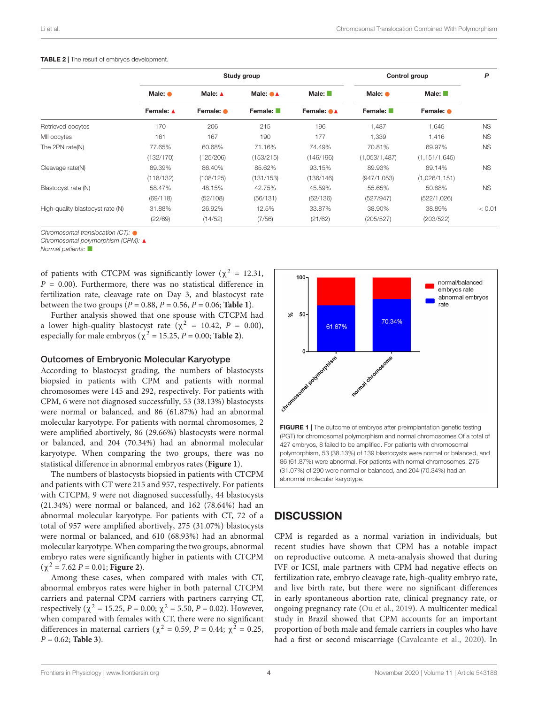|                                  | Study group                  |                      |                                          |                                    | Control group              |                                   | P         |
|----------------------------------|------------------------------|----------------------|------------------------------------------|------------------------------------|----------------------------|-----------------------------------|-----------|
|                                  | Male: $\bullet$<br>Female: ▲ | Male: A<br>Female: • | Male: $\bullet\blacktriangle$<br>Female: | Male: $\blacksquare$<br>Female: ●▲ | Male: $\bullet$<br>Female: | Male: $\blacksquare$<br>Female: • |           |
|                                  |                              |                      |                                          |                                    |                            |                                   |           |
| Retrieved oocytes                | 170                          | 206                  | 215                                      | 196                                | 1,487                      | 1,645                             | <b>NS</b> |
| MII oocytes                      | 161                          | 167                  | 190                                      | 177                                | 1,339                      | 1,416                             | <b>NS</b> |
| The 2PN rate(N)                  | 77.65%                       | 60.68%               | 71.16%                                   | 74.49%                             | 70.81%                     | 69.97%                            | <b>NS</b> |
|                                  | (132/170)                    | (125/206)            | (153/215)                                | (146/196)                          | (1,053/1,487)              | (1, 151/1, 645)                   |           |
| Cleavage rate(N)                 | 89.39%                       | 86.40%               | 85.62%                                   | 93.15%                             | 89.93%                     | 89.14%                            | <b>NS</b> |
|                                  | (118/132)                    | (108/125)            | (131/153)                                | (136/146)                          | (947/1, 053)               | (1,026/1,151)                     |           |
| Blastocyst rate (N)              | 58.47%                       | 48.15%               | 42.75%                                   | 45.59%                             | 55.65%                     | 50.88%                            | <b>NS</b> |
|                                  | (69/118)                     | (52/108)             | (56/131)                                 | (62/136)                           | (527/947)                  | (522/1,026)                       |           |
| High-quality blastocyst rate (N) | 31.88%                       | 26.92%               | 12.5%                                    | 33.87%                             | 38.90%                     | 38.89%                            | < 0.01    |
|                                  | (22/69)                      | (14/52)              | (7/56)                                   | (21/62)                            | (205/527)                  | (203/522)                         |           |

#### <span id="page-3-0"></span>TABLE 2 | The result of embryos development.

Chromosomal translocation (CT):  $\bullet$ 

Chromosomal polymorphism (CPM): ▲

Normal patients:

of patients with CTCPM was significantly lower ( $\chi^2 = 12.31$ ,  $P = 0.00$ ). Furthermore, there was no statistical difference in fertilization rate, cleavage rate on Day 3, and blastocyst rate between the two groups ( $P = 0.88$ ,  $P = 0.56$ ,  $P = 0.06$ ; **[Table 1](#page-2-0)**).

Further analysis showed that one spouse with CTCPM had a lower high-quality blastocyst rate ( $\chi^2$  = 10.42, P = 0.00), especially for male embryos ( $\chi^2$  = 15.25, *P* = 0.00; **[Table 2](#page-3-0)**).

#### Outcomes of Embryonic Molecular Karyotype

According to blastocyst grading, the numbers of blastocysts biopsied in patients with CPM and patients with normal chromosomes were 145 and 292, respectively. For patients with CPM, 6 were not diagnosed successfully, 53 (38.13%) blastocysts were normal or balanced, and 86 (61.87%) had an abnormal molecular karyotype. For patients with normal chromosomes, 2 were amplified abortively, 86 (29.66%) blastocysts were normal or balanced, and 204 (70.34%) had an abnormal molecular karyotype. When comparing the two groups, there was no statistical difference in abnormal embryos rates (**[Figure 1](#page-3-1)**).

The numbers of blastocysts biopsied in patients with CTCPM and patients with CT were 215 and 957, respectively. For patients with CTCPM, 9 were not diagnosed successfully, 44 blastocysts (21.34%) were normal or balanced, and 162 (78.64%) had an abnormal molecular karyotype. For patients with CT, 72 of a total of 957 were amplified abortively, 275 (31.07%) blastocysts were normal or balanced, and 610 (68.93%) had an abnormal molecular karyotype. When comparing the two groups, abnormal embryo rates were significantly higher in patients with CTCPM (χ <sup>2</sup> = 7.62 P = 0.01; **[Figure 2](#page-4-0)**).

Among these cases, when compared with males with CT, abnormal embryos rates were higher in both paternal CTCPM carriers and paternal CPM carriers with partners carrying CT, respectively ( $\chi^2 = 15.25$ ,  $P = 0.00$ ;  $\chi^2 = 5.50$ ,  $P = 0.02$ ). However, when compared with females with CT, there were no significant differences in maternal carriers ( $\chi^2 = 0.59$ ,  $P = 0.44$ ;  $\chi^2 = 0.25$ , P = 0.62; **[Table 3](#page-5-0)**).



### <span id="page-3-1"></span>**DISCUSSION**

CPM is regarded as a normal variation in individuals, but recent studies have shown that CPM has a notable impact on reproductive outcome. A meta-analysis showed that during IVF or ICSI, male partners with CPM had negative effects on fertilization rate, embryo cleavage rate, high-quality embryo rate, and live birth rate, but there were no significant differences in early spontaneous abortion rate, clinical pregnancy rate, or ongoing pregnancy rate [\(Ou et al.,](#page-6-6) [2019\)](#page-6-6). A multicenter medical study in Brazil showed that CPM accounts for an important proportion of both male and female carriers in couples who have had a first or second miscarriage [\(Cavalcante et al.,](#page-6-9) [2020\)](#page-6-9). In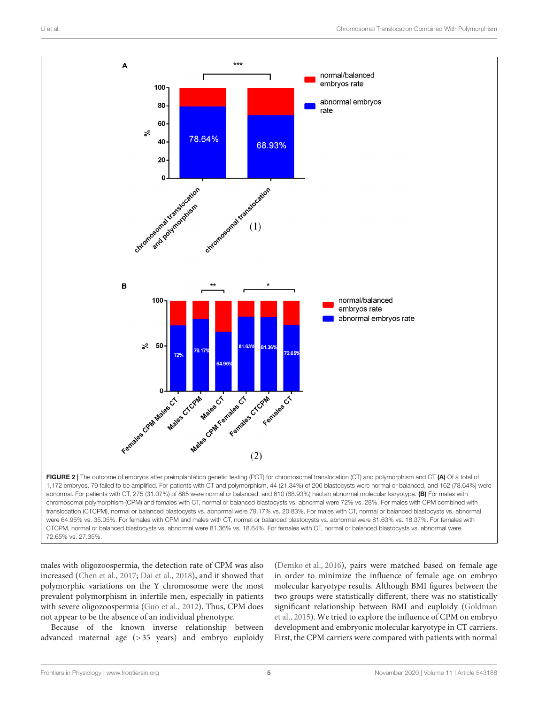

<span id="page-4-0"></span>72.65% vs. 27.35%.

males with oligozoospermia, the detection rate of CPM was also increased [\(Chen et al.,](#page-6-10) [2017;](#page-6-10) [Dai et al.,](#page-6-11) [2018\)](#page-6-11), and it showed that polymorphic variations on the Y chromosome were the most prevalent polymorphism in infertile men, especially in patients with severe oligozoospermia [\(Guo et al.,](#page-6-12) [2012\)](#page-6-12). Thus, CPM does not appear to be the absence of an individual phenotype.

Because of the known inverse relationship between advanced maternal age (>35 years) and embryo euploidy [\(Demko et al.,](#page-6-13) [2016\)](#page-6-13), pairs were matched based on female age in order to minimize the influence of female age on embryo molecular karyotype results. Although BMI figures between the two groups were statistically different, there was no statistically significant relationship between BMI and euploidy [\(Goldman](#page-6-14) [et al.,](#page-6-14) [2015\)](#page-6-14). We tried to explore the influence of CPM on embryo development and embryonic molecular karyotype in CT carriers. First, the CPM carriers were compared with patients with normal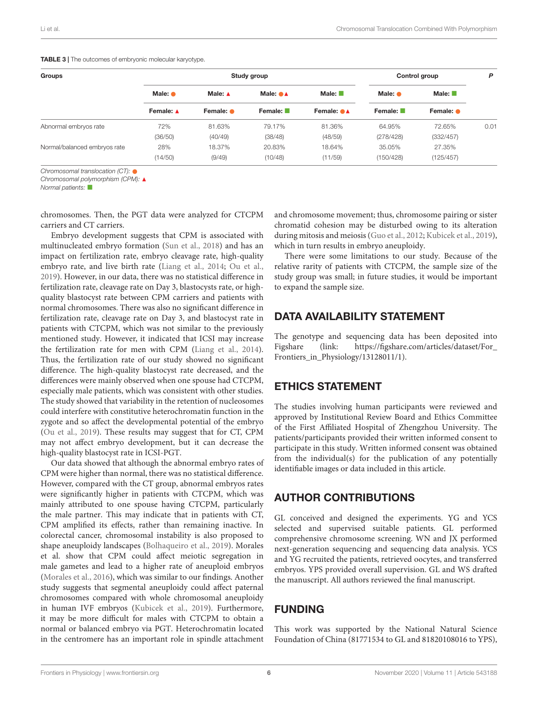| Groups                       | Study group                  |                   |                               |                                    | Control group              |                                           | P    |
|------------------------------|------------------------------|-------------------|-------------------------------|------------------------------------|----------------------------|-------------------------------------------|------|
|                              | Male: $\bullet$<br>Female: A | Male: $\triangle$ | Male: $\bullet\blacktriangle$ | Male: $\blacksquare$<br>Female: ●▲ | Male: $\bullet$<br>Female: | Male: $\blacksquare$<br>Female: $\bullet$ |      |
|                              |                              | Female: •         | Female: $\blacksquare$        |                                    |                            |                                           |      |
| Abnormal embryos rate        | 72%                          | 81.63%            | 79.17%                        | 81.36%                             | 64.95%                     | 72.65%                                    | 0.01 |
|                              | (36/50)                      | (40/49)           | (38/48)                       | (48/59)                            | (278/428)                  | (332/457)                                 |      |
| Normal/balanced embryos rate | 28%                          | 18.37%            | 20.83%                        | 18.64%                             | 35.05%                     | 27.35%                                    |      |
|                              | (14/50)                      | (9/49)            | (10/48)                       | (11/59)                            | (150/428)                  | (125/457)                                 |      |

<span id="page-5-0"></span>TABLE 3 | The outcomes of embryonic molecular karyotype.

Chromosomal translocation (CT):  $\bullet$ 

Chromosomal polymorphism (CPM): A

Normal patients:  $\square$ 

chromosomes. Then, the PGT data were analyzed for CTCPM carriers and CT carriers.

Embryo development suggests that CPM is associated with multinucleated embryo formation [\(Sun et al.,](#page-6-4) [2018\)](#page-6-4) and has an impact on fertilization rate, embryo cleavage rate, high-quality embryo rate, and live birth rate [\(Liang et al.,](#page-6-15) [2014;](#page-6-15) [Ou et al.,](#page-6-6) [2019\)](#page-6-6). However, in our data, there was no statistical difference in fertilization rate, cleavage rate on Day 3, blastocysts rate, or highquality blastocyst rate between CPM carriers and patients with normal chromosomes. There was also no significant difference in fertilization rate, cleavage rate on Day 3, and blastocyst rate in patients with CTCPM, which was not similar to the previously mentioned study. However, it indicated that ICSI may increase the fertilization rate for men with CPM [\(Liang et al.,](#page-6-15) [2014\)](#page-6-15). Thus, the fertilization rate of our study showed no significant difference. The high-quality blastocyst rate decreased, and the differences were mainly observed when one spouse had CTCPM, especially male patients, which was consistent with other studies. The study showed that variability in the retention of nucleosomes could interfere with constitutive heterochromatin function in the zygote and so affect the developmental potential of the embryo [\(Ou et al.,](#page-6-6) [2019\)](#page-6-6). These results may suggest that for CT, CPM may not affect embryo development, but it can decrease the high-quality blastocyst rate in ICSI-PGT.

Our data showed that although the abnormal embryo rates of CPM were higher than normal, there was no statistical difference. However, compared with the CT group, abnormal embryos rates were significantly higher in patients with CTCPM, which was mainly attributed to one spouse having CTCPM, particularly the male partner. This may indicate that in patients with CT, CPM amplified its effects, rather than remaining inactive. In colorectal cancer, chromosomal instability is also proposed to shape aneuploidy landscapes [\(Bolhaqueiro et al.,](#page-6-16) [2019\)](#page-6-16). Morales et al. show that CPM could affect meiotic segregation in male gametes and lead to a higher rate of aneuploid embryos [\(Morales et al.,](#page-6-17) [2016\)](#page-6-17), which was similar to our findings. Another study suggests that segmental aneuploidy could affect paternal chromosomes compared with whole chromosomal aneuploidy in human IVF embryos [\(Kubicek et al.,](#page-6-18) [2019\)](#page-6-18). Furthermore, it may be more difficult for males with CTCPM to obtain a normal or balanced embryo via PGT. Heterochromatin located in the centromere has an important role in spindle attachment

and chromosome movement; thus, chromosome pairing or sister chromatid cohesion may be disturbed owing to its alteration during mitosis and meiosis [\(Guo et al.,](#page-6-12) [2012;](#page-6-12) [Kubicek et al.,](#page-6-18) [2019\)](#page-6-18), which in turn results in embryo aneuploidy.

There were some limitations to our study. Because of the relative rarity of patients with CTCPM, the sample size of the study group was small; in future studies, it would be important to expand the sample size.

# DATA AVAILABILITY STATEMENT

The genotype and sequencing data has been deposited into Figshare (link: [https://figshare.com/articles/dataset/For\\_](https://figshare.com/articles/dataset/For_Frontiers_in_Physiology/13128011/1) [Frontiers\\_in\\_Physiology/13128011/1\)](https://figshare.com/articles/dataset/For_Frontiers_in_Physiology/13128011/1).

### ETHICS STATEMENT

The studies involving human participants were reviewed and approved by Institutional Review Board and Ethics Committee of the First Affiliated Hospital of Zhengzhou University. The patients/participants provided their written informed consent to participate in this study. Written informed consent was obtained from the individual(s) for the publication of any potentially identifiable images or data included in this article.

#### AUTHOR CONTRIBUTIONS

GL conceived and designed the experiments. YG and YCS selected and supervised suitable patients. GL performed comprehensive chromosome screening. WN and JX performed next-generation sequencing and sequencing data analysis. YCS and YG recruited the patients, retrieved oocytes, and transferred embryos. YPS provided overall supervision. GL and WS drafted the manuscript. All authors reviewed the final manuscript.

### FUNDING

This work was supported by the National Natural Science Foundation of China (81771534 to GL and 81820108016 to YPS),